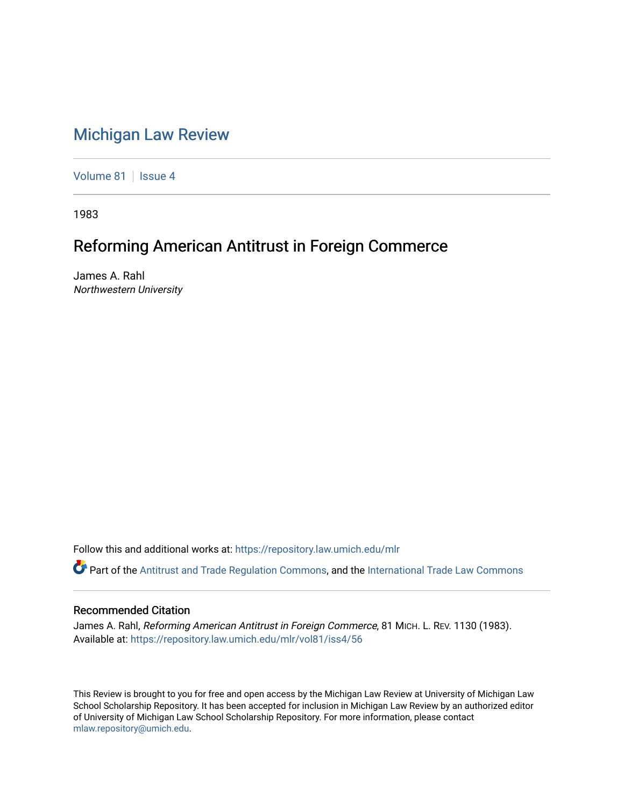# [Michigan Law Review](https://repository.law.umich.edu/mlr)

[Volume 81](https://repository.law.umich.edu/mlr/vol81) | [Issue 4](https://repository.law.umich.edu/mlr/vol81/iss4)

1983

# Reforming American Antitrust in Foreign Commerce

James A. Rahl Northwestern University

Follow this and additional works at: [https://repository.law.umich.edu/mlr](https://repository.law.umich.edu/mlr?utm_source=repository.law.umich.edu%2Fmlr%2Fvol81%2Fiss4%2F56&utm_medium=PDF&utm_campaign=PDFCoverPages) 

Part of the [Antitrust and Trade Regulation Commons,](http://network.bepress.com/hgg/discipline/911?utm_source=repository.law.umich.edu%2Fmlr%2Fvol81%2Fiss4%2F56&utm_medium=PDF&utm_campaign=PDFCoverPages) and the [International Trade Law Commons](http://network.bepress.com/hgg/discipline/848?utm_source=repository.law.umich.edu%2Fmlr%2Fvol81%2Fiss4%2F56&utm_medium=PDF&utm_campaign=PDFCoverPages) 

## Recommended Citation

James A. Rahl, Reforming American Antitrust in Foreign Commerce, 81 MICH. L. REV. 1130 (1983). Available at: [https://repository.law.umich.edu/mlr/vol81/iss4/56](https://repository.law.umich.edu/mlr/vol81/iss4/56?utm_source=repository.law.umich.edu%2Fmlr%2Fvol81%2Fiss4%2F56&utm_medium=PDF&utm_campaign=PDFCoverPages) 

This Review is brought to you for free and open access by the Michigan Law Review at University of Michigan Law School Scholarship Repository. It has been accepted for inclusion in Michigan Law Review by an authorized editor of University of Michigan Law School Scholarship Repository. For more information, please contact [mlaw.repository@umich.edu.](mailto:mlaw.repository@umich.edu)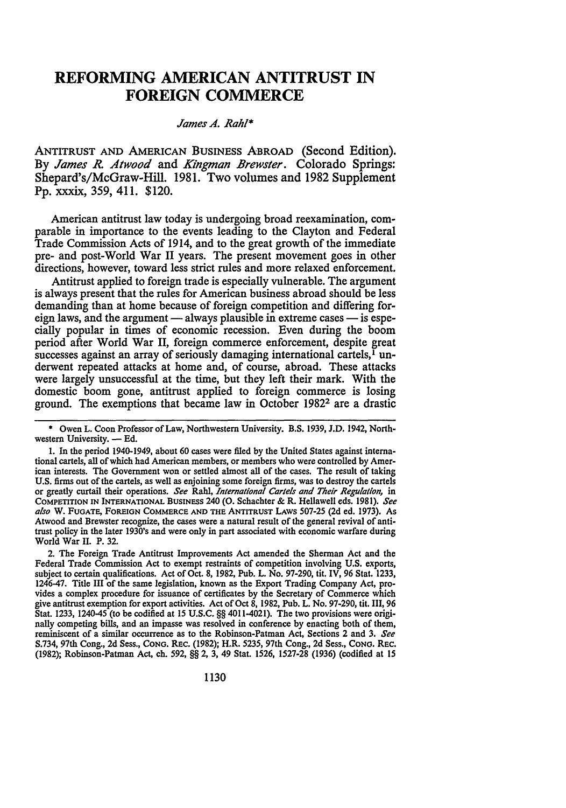# **REFORMING AMERICAN ANTITRUST IN FOREIGN COMMERCE**

### *James A. Rahl\**

ANTITRUST AND AMERICAN BUSINESS ABROAD (Second Edition). By *James R Atwood* and *Kingman Brewster.* Colorado Springs: Shepard's/McGraw-Hill. 1981. Two volumes and 1982 Supplement Pp. xxxix, 359, 411. \$120.

American antitrust law today is undergoing broad reexamination, comparable in importance to the events leading to the Clayton and Federal Trade Commission Acts of 1914, and to the great growth of the immediate pre- and post-World War II years. The present movement goes in other directions, however, toward less strict rules and more relaxed enforcement.

Antitrust applied to foreign trade is especially vulnerable. The argument is always present that the rules for American business abroad should be less demanding than at home because of foreign competition and differing foreign laws, and the argument  $-$  always plausible in extreme cases  $-$  is especially popular in times of economic recession. Even during the boom period after World War II, foreign commerce enforcement, despite great successes against an array of seriously damaging international cartels,<sup>1</sup> underwent repeated attacks at home and, of course, abroad. These attacks were largely unsuccessful at the time, but they left their mark. With the domestic boom gone, antitrust applied to foreign commerce is losing ground. The exemptions that became law in October 1982<sup>2</sup> are a drastic

2. The Foreign Trade Antitrust Improvements Act amended the Sherman Act and the Federal Trade Commission Act to exempt restraints of competition involving U.S. exports, subject to certain qualifications. Act of Oct. 8, 1982, Pub. L. No. 97-290, tit. IV, 96 Stat. 1233, 1246-47. Title III of the same legislation, known as the Export Trading Company Act, provides a complex procedure for issuance of certificates by the Secretary of Commerce which give antitrust exemption for export activities. Act of Oct 8, 1982, Pub. L. No. 97-290, tit. III, 96 Stat. 1233, 1240-45 (to be codified at 15 U.S.C. §§ 4011-4021). The two provisions were originally competing bills, and an impasse was resolved in conference by enacting both of them, reminiscent of a similar occurrence as to the Robinson-Patman Act, Sections 2 and 3. *See*  S.734, 97th Cong., 2d Sess., CONG. REc. (1982); H.R. 5235, 97th Cong., 2d Sess., CoNO. REC, (1982); Robinson-Patman Act, ch. 592, §§ 2, 3, 49 Stat. 1526, 1527-28 (1936) (codified at 15

<sup>\*</sup> Owen L. Coon Professor of Law, Northwestern University. B.S. 1939, J.D. 1942, Northwestern University. - Ed.

l. In the period 1940-1949, about 60 cases were filed by the United States against international cartels, all of which had American members, or members who were controlled by American interests. The Government won or settled almost all of the cases. The result of taking U.S. firms out of the cartels, as well as enjoining some foreign firms, was to destroy the cartels or greatly curtail their operations. See Rahl, *International Cartels and Their Regulation*, in COMPETITION IN INTERNATIONAL BUSINESS 240 (0. Schachter & R. Hellawell eds. 1981). *See also* w. FUGATE, FOREIGN COMMERCE AND THE ANTITRUST LAWS 507-25 (2d ed. 1973). As Atwood and Brewster recognize, the cases were a natural result of the general revival of antitrust policy in the later 1930's and were only in part associated with economic warfare during World War II. P. 32.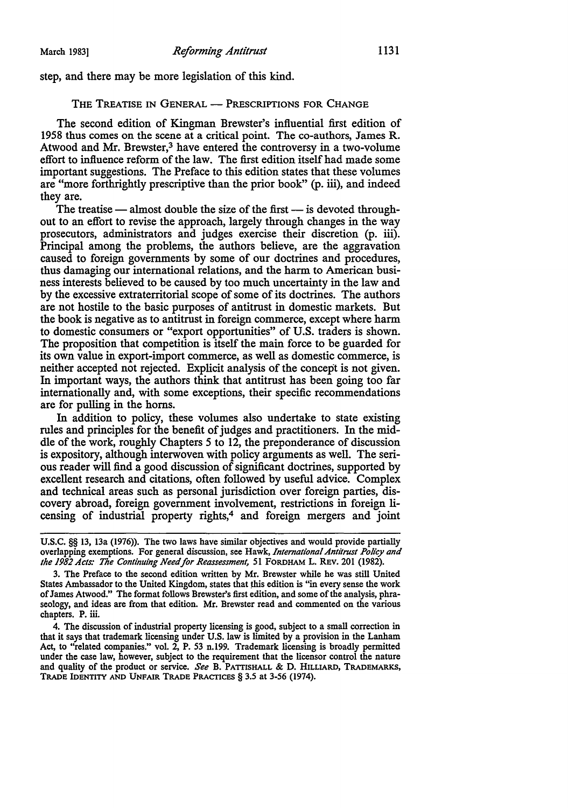step, and there may be more legislation of this kind.

#### THE TREATISE IN GENERAL - PRESCRIPTIONS FOR CHANGE

The second edition of Kingman Brewster's influential first edition of 1958 thus comes on the scene at a critical point. The co-authors, James **R.**  Atwood and Mr. Brewster,<sup>3</sup> have entered the controversy in a two-volume effort to influence reform of the law. The first edition itself had made some important suggestions. The Preface to this edition states that these volumes are "more forthrightly prescriptive than the prior book" (p. iii), and indeed they are.

The treatise  $-$  almost double the size of the first  $-$  is devoted throughout to an effort to revise the approach, largely through changes in the way prosecutors, administrators and judges exercise their discretion (p. iii). Principal among the problems, the authors believe, are the aggravation caused to foreign governments by some of our doctrines and procedures, thus damaging our international relations, and the harm to American business interests believed to be caused by too much uncertainty in the law and by the excessive extraterritorial scope of some of its doctrines. The authors are not hostile to the basic purposes of antitrust in domestic markets. But the book is negative as to antitrust in foreign commerce, except where harm to domestic consumers or "export opportunities" of U.S. traders is shown. The proposition that competition is itself the main force to be guarded for its own value in export-import commerce, as well as domestic commerce, is neither accepted not rejected. Explicit analysis of the concepl is not given. In important ways, the authors think that antitrust has been going too far internationally and, with some exceptions, their specific recommendations are for pulling in the horns.

In addition to policy, these volumes also undertake to state existing rules and principles for the benefit of judges and practitioners. In the middle of the work, roughly Chapters 5 to 12, the preponderance of discussion is expository, although interwoven with policy arguments as well. The serious reader will find a good discussion of significant doctrines, supported by excellent research and citations, often followed by useful advice. Complex and technical areas such as personal jurisdiction over foreign parties, discovery abroad, foreign government involvement, restrictions in foreign licensing of industrial property rights,4 and foreign mergers and joint

U.S.C. §§ 13, 13a (1976)). The two laws have similar objectives and would provide partially overlapping exemptions. For general discussion, see Hawk, *Intematlona/ Antltrust Polley and the 1982 Acts: The Contlnulng Need for Reassessment,* 51 FORDHAM L. REV. 201 (1982).

3. The Preface to the second edition written by Mr. Brewster while he was still United States Ambassador to the United Kingdom, states that this edition is "in every sense the work of James Atwood." The format follows Brewster's first edition, and some of the analysis, phraseology, and ideas are from that edition. Mr. Brewster read and commented on the various chapters. P. iii.

4. The discussion of industrial property licensing is good, subject to a small correction in that it says that trademark licensing under U.S. law is limited by a provision in the Lanham Act, to "related companies." vol. 2, P. 53 n.199. Trademark licensing is broadly permitted under the case law, however, subject to the requirement that the licensor control the nature and quality of the product or service. *See* B. PATIISHALL & D. HILLIARD, TRADEMARKS, TRADE IDENTITY AND UNFAIR TRADE PRACTICES § 3.5 at 3-56 (1974).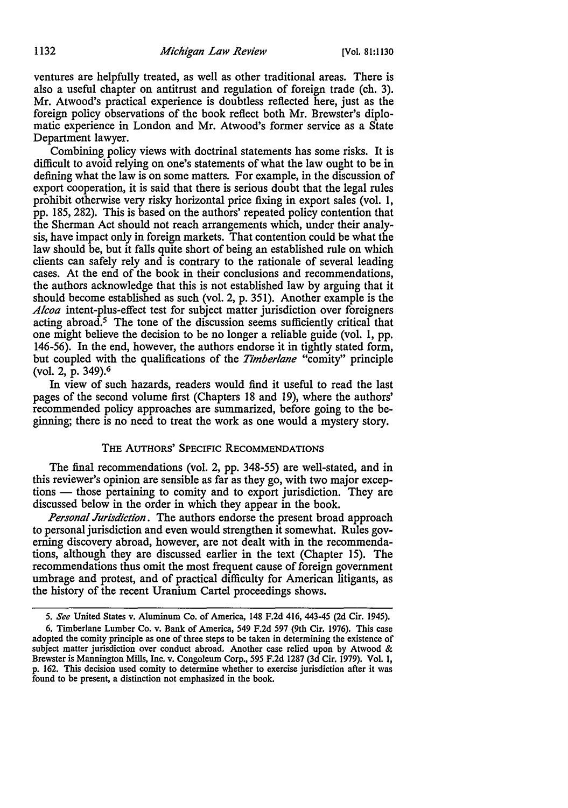ventures are helpfully treated, as well as other traditional areas. There is also a useful chapter on antitrust and regulation of foreign trade (ch. 3). Mr. Atwood's practical experience is doubtless reflected here, just as the foreign policy observations of the book reflect both Mr. Brewster's diplomatic experience in London and Mr. Atwood's former service as a State Department lawyer.

Combining policy views with doctrinal statements has some risks. It is difficult to avoid relying on one's statements of what the law ought to be in defining what the law is on some matters. For example, in the discussion of export cooperation, it is said that there is serious doubt that the legal rules prohibit otherwise very risky horizontal price fixing in export sales (vol. I, pp. 185, 282). This is based on the authors' repeated policy contention that the Sherman Act should not reach arrangements which, under their analysis, have impact only in foreign markets. That contention could be what the law should be, but it falls quite short of being an established rule on which clients can safely rely and is contrary to the rationale of several leading cases. At the end of the book in their conclusions and recommendations, the authors acknowledge that this is not established law by arguing that it should become established as such (vol. 2, p. 351). Another example is the *Alcoa* intent-plus-effect test for subject matter jurisdiction over foreigners acting abroad.5 The tone of the discussion seems sufficiently critical that one might believe the decision to be no longer a reliable guide (vol. I, pp. 146-56). In the end, however, the authors endorse it in tightly stated form, but coupled with the qualifications of the *Timberlane* "comity" principle (vol. 2, p. 349).<sup>6</sup>

In view of such hazards, readers would find it useful to read the last pages of the second volume first (Chapters 18 and 19), where the authors' recommended policy approaches are summarized, before going to the beginning; there is no need to treat the work as one would a mystery story.

#### THE AUTHORS' SPECIFIC RECOMMENDATIONS

The final recommendations (vol. 2, pp. 348-55) are well-stated, and in this reviewer's opinion are sensible as far as they go, with two major exceptions — those pertaining to comity and to export jurisdiction. They are discussed below in the order in which they appear in the book.

*Personal Jurisdiction.* The authors endorse the present broad approach to personal jurisdiction and even would strengthen it somewhat. Rules governing discovery abroad, however, are not dealt with in the recommendations, although they are discussed earlier in the text (Chapter 15). The recommendations thus omit the most frequent cause of foreign government umbrage and protest, and of practical difficulty for American litigants, as the history of the recent Uranium Cartel proceedings shows.

*<sup>5.</sup> See* United States v. Aluminum Co. of America, 148 F.2d 416, 443-45 (2d Cir. 1945).

<sup>6.</sup> Timberlane Lumber Co. v. Bank of America, 549 F.2d 597 (9th Cir. 1976). This case adopted the comity principle as one of three steps to be taken in determining the existence of subject matter jurisdiction over conduct abroad. Another case relied upon by Atwood & Brewster is Mannington Mills, Inc. v. Congoleum Corp., *595* F.2d 1287 (3d Cir. 1979). Vol. I, p. 162. This decision used comity to determine whether to exercise jurisdiction after it was found to be present, a distinction not emphasized in the book.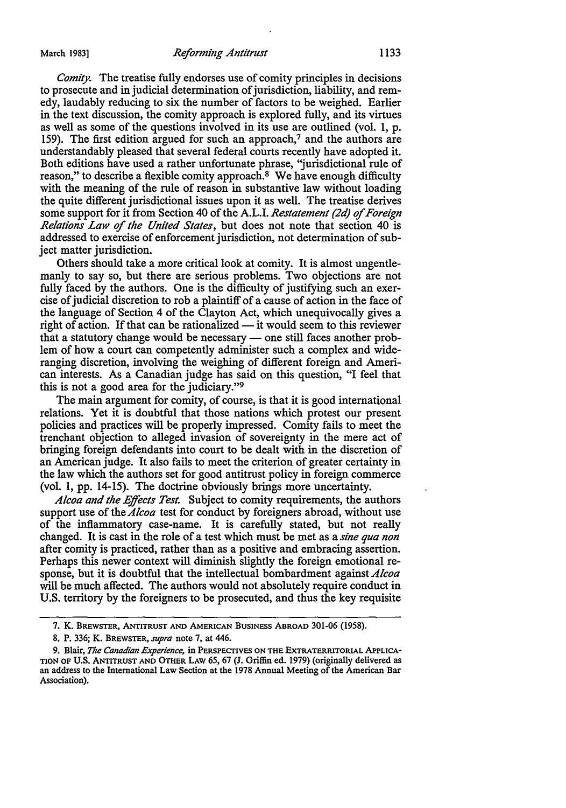*Comity.* The treatise fully endorses use of comity principles in decisions to prosecute and in judicial determination of jurisdiction, liability, and remedy, laudably reducing to six the number of factors to be weighed. Earlier in the text discussion, the comity approach is explored fully, and its virtues as well as some of the questions involved in its use are outlined (vol. I, p. 159). The first edition argued for such an approach, $7$  and the authors are understandably pleased that several federal courts recently have adopted it. Both editions have used a rather unfortunate phrase, "jurisdictional rule of reason," to describe a flexible comity approach.<sup>8</sup> We have enough difficulty with the meaning of the rule of reason in substantive law without loading the quite different jurisdictional issues upon it as well. The treatise derives some support for it from Section 40 of the A.LI. *Restatement (2d)* of *Foreign Relations Law* of *the United States,* but does not note that section 40 is addressed to exercise of enforcement jurisdiction, not determination of subject matter jurisdiction.

Others should take a more critical look at comity. It is almost ungentlemanly to say so, but there are serious problems. Two objections are not fully faced by the authors. One is the difficulty of justifying such an exercise of judicial discretion to rob a plaintiff of a cause of action in the face of the language of Section 4 of the Clayton Act, which unequivocally gives a right of action. If that can be rationalized — it would seem to this reviewer that a statutory change would be necessary - one still faces another problem of how a court can competently administer such a complex and wideranging discretion, involving the weighing of different foreign and American interests. As a Canadian judge has said on this question, "I feel that this is not a good area for the judiciary."<sup>9</sup>

The main argument for comity, of course, is that it is good international relations. Yet it is doubtful that those nations which protest our present policies and practices will be properly impressed. Comity fails to meet the trenchant objection to alleged invasion of sovereignty in the mere act of bringing foreign defendants into court to be dealt with in the discretion of an American judge. It also fails to meet the criterion of greater certainty in the law which the authors set for good antitrust policy in foreign commerce (vol. 1, pp. 14-15). The doctrine obviously brings more uncertainty.

*Alcoa and the Effects Test.* Subject to comity requirements, the authors support use of the *Alcoa* test for conduct by foreigners abroad, without use of the inflammatory case-name. It is carefully stated, but not really changed. It is cast in the role of a test which must be met as a *sine qua non*  after comity is practiced, rather than as a positive and embracing assertion. Perhaps this newer context will diminish slightly the foreign emotional response, but it is doubtful that the intellectual bombardment against *Alcoa*  will be much affected. The authors would not absolutely require conduct in U.S. territory by the foreigners to be prosecuted, and thus the key requisite

<sup>7.</sup> K. BREWSTER, ANTITRUST AND AMERICAN BUSINESS ABROAD 301-06 (1958).

<sup>8.</sup> P. 336; K. BREWSTER, *supra* note 7, at 446.

<sup>9.</sup> Blair, *The Canadian Experience,* in PERSPECTIVES ON THE EXTRATERRITORIAL APPLICA-TION OF U.S. ANTITRUST AND OTHER LAW 65, 67 (J. Griffin ed. 1979) (originally delivered as an address to the International Law Section at the 1978 Annual Meeting of the American Bar Association).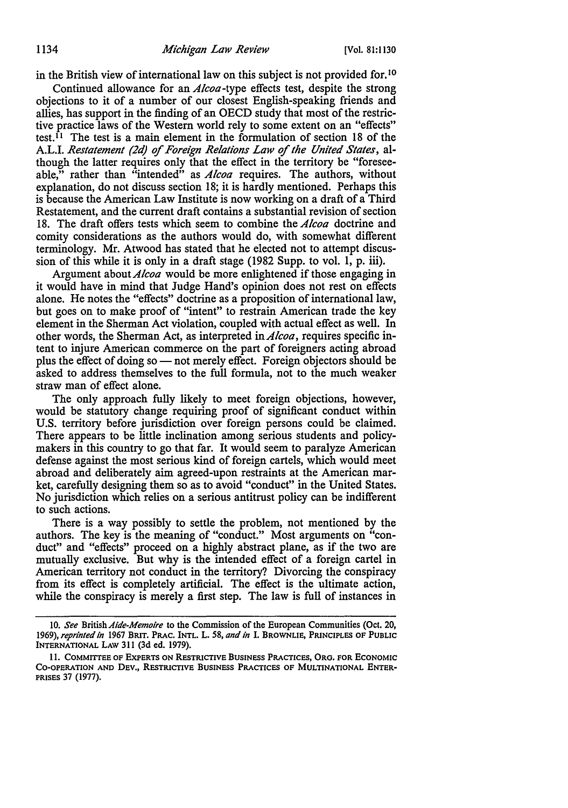in the British view of international law on this subject is not provided for.<sup>10</sup>

Continued allowance for an *Alcoa-type* effects test, despite the strong objections to it of a number of our closest English-speaking friends and allies, has support in the finding of an OECD study that most of the restrictive practice laws of the Western world rely to some extent on an "effects" test.  $\hat{I}$ <sup>1</sup> The test is a main element in the formulation of section 18 of the A.L.I. *Restatement (2d)* of *Foreign Relations Law* of *the United States,* although the latter requires only that the effect in the territory be "foreseeable," rather than "intended" as *Alcoa* requires. The authors, without explanation, do not discuss section 18; it is hardly mentioned. Perhaps this is because the American Law Institute is now working on a draft of a Third Restatement, and the current draft contains a substantial revision of section 18. The draft offers tests which seem to combine the *Alcoa* doctrine and comity considerations as the authors would do, with somewhat different terminology. Mr. Atwood has stated that he elected not to attempt discussion of this while it is only in a draft stage (1982 Supp. to vol. 1, p. iii).

Argument about *Alcoa* would be more enlightened if those engaging in it would have in mind that Judge Hand's opinion does not rest on effects alone. He notes the "effects" doctrine as a proposition of international law, but goes on to make proof of "intent" to restrain American trade the key element in the Sherman Act violation, coupled with actual effect as well. In other words, the Sherman Act, as interpreted in *Alcoa,* requires specific intent to injure American commerce on the part of foreigners acting abroad plus the effect of doing so  $-$  not merely effect. Foreign objectors should be asked to address themselves to the full formula, not to the much weaker straw man of effect alone.

The only approach fully likely to meet foreign objections, however, would be statutory change requiring proof of significant conduct within U.S. territory before jurisdiction over foreign persons could be claimed. There appears to be little inclination among serious students and policymakers in this country to go that far. It would seem to paralyze American defense against the most serious kind of foreign cartels, which would meet abroad and deliberately aim agreed-upon restraints at the American market, carefully designing them so as to avoid "conduct" in the United States. No jurisdiction which relies on a serious antitrust policy can be indifferent to such actions.

There is a way possibly to settle the problem, not mentioned by the authors. The key is the meaning of "conduct." Most arguments on "conduct" and "effects" proceed on a highly abstract plane, as if the two are mutually exclusive. But why is the intended effect of a foreign cartel in American territory not conduct in the territory? Divorcing the conspiracy from its effect is completely artificial. The effect is the ultimate action, while the conspiracy is merely a first step. The law is full of instances in

<sup>10.</sup> *See British Aide-Memoire* to the Commission of the European Communities (Oct. 20, 1969), *reprinted in* 1967 BRIT. PRAC. INTL. L. 58, *and in* I. BROWNLIE, PRINCIPLES OF PUBLIC INTERNATIONAL LAW 311 (3d ed. 1979),

<sup>11.</sup> COMMITTEE OF EXPERTS ON RESTRICTIVE BUSINESS PRACTICES, ORO, FOR ECONOMIC Co-OPERATION AND DEV., RESTRICTIVE BUSINESS PRACTICES OF MULTINATIONAL ENTER· PRISES 37 (1977).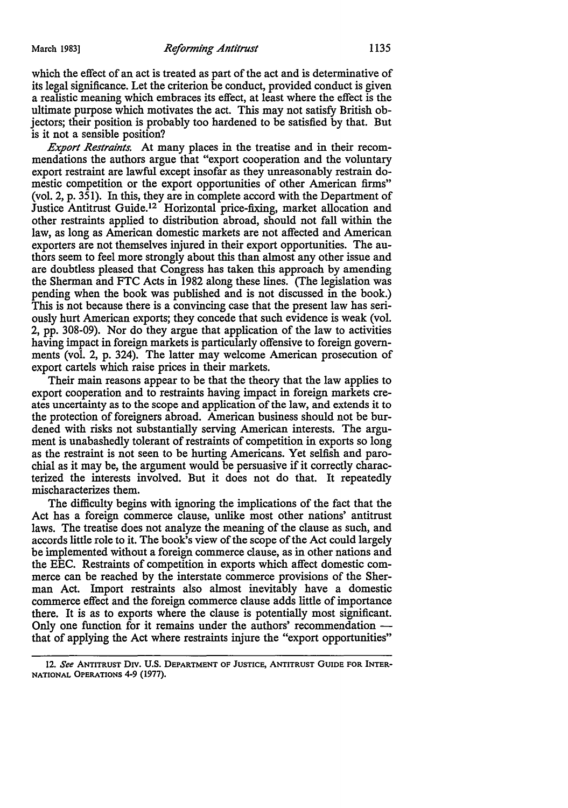which the effect of an act is treated as part of the act and is determinative of its legal significance. Let the criterion be conduct, provided conduct is given a realistic meaning which embraces its effect, at least where the effect is the ultimate purpose which motivates the act. This may not satisfy British objectors; their position is probably too hardened to be satisfied by that. But is it not a sensible position?

*Export Restraints.* At many places in the treatise and in their recommendations the authors argue that "export cooperation and the voluntary export restraint are lawful except insofar as they unreasonably restrain domestic competition or the export opportunities of other American firms" (vol. 2, p. 351). In this, they are in complete accord with the Department of Justice Antitrust Guide.<sup>12</sup> Horizontal price-fixing, market allocation and other restraints applied to distribution abroad, should not fall within the law, as long as American domestic markets are not affected and American exporters are not themselves injured in their export opportunities. The authors seem to feel more strongly about this than almost any other issue and are doubtless pleased that Congress has taken this approach by amending the Sherman and FTC Acts in 1982 along these lines. (The legislation was pending when the book was published and is not discussed in the book.) This is not because there is a convincing case that the present law has seriously hurt American exports; they concede that such evidence is weak (vol. 2, pp. 308-09). Nor do they argue that application of the law to activities having impact in foreign markets is particularly offensive to foreign governments (vol. 2, p. 324). The latter may welcome American prosecution of export cartels which raise prices in their markets.

Their main reasons appear to be that the theory that the law applies to export cooperation and to restraints having impact in foreign markets creates uncertainty as to the scope and application of the law, and extends it to the protection of foreigners abroad. American business should not be burdened with risks not substantially serving American interests. The argument is unabashedly tolerant of restraints of competition in exports so long as the restraint is not seen to be hurting Americans. Yet selfish and parochial as it may be, the argument would be persuasive if it correctly characterized the interests involved. But it does not do that. It repeatedly mischaracterizes them.

The difficulty begins with ignoring the implications of the fact that the Act has a foreign commerce clause, unlike most other nations' antitrust laws. The treatise does not analyze the meaning of the clause as such, and accords little role to it. The book's view of the scope of the Act could largely be implemented without a foreign commerce clause, as in other nations and the EEC. Restraints of competition in exports which affect domestic commerce can be reached by the interstate commerce provisions of the Sherman Act. Import restraints also almost inevitably have a domestic commerce effect and the foreign commerce clause adds little of importance there. It is as to exports where the clause is potentially most significant. Only one function for it remains under the authors' recommendation that of applying the Act where restraints injure the "export opportunities"

<sup>12.</sup> *See* ANTITRUST DIV. U.S. DEPARTMENT OF JUSTICE, ANTITRUST GUIDE FOR INTER-NATIONAL OPERATIONS 4-9 (1977).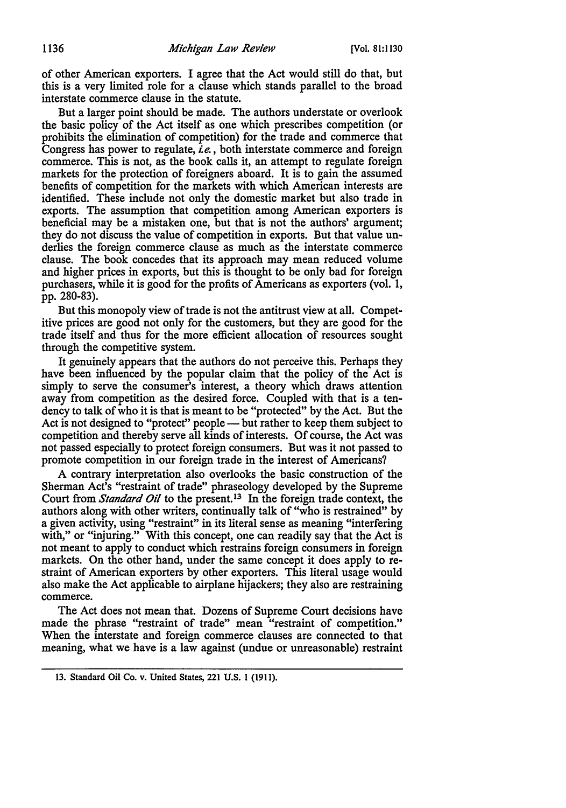of other American exporters. I agree that the Act would still do that, but this is a very limited role for a clause which stands parallel to the broad interstate commerce clause in the statute.

But a larger point should be made. The authors understate or overlook the basic policy of the Act itself as one which prescribes competition (or prohibits the elimination of competition) for the trade and commerce that Congress has power to regulate, *ie.,* both interstate commerce and foreign commerce. This is not, as the book calls it, an attempt to regulate foreign markets for the protection of foreigners aboard. It is to gain the assumed benefits of competition for the markets with which American interests are identified. These include not only the domestic market but also trade in exports. The assumption that competition among American exporters is beneficial may be a mistaken one, but that is not the authors' argument; they do not discuss the value of competition in exports. But that value underlies the foreign commerce clause as much as the interstate commerce clause. The book concedes that its approach may mean reduced volume and higher prices in exports, but this is thought to be only bad for foreign purchasers, while it is good for the profits of Americans as exporters (vol. 1, pp. 280-83).

But this monopoly view of trade is not the antitrust view at all. Competitive prices are good not only for the customers, but they are good for the trade itself and thus for the more efficient allocation of resources sought through the competitive system.

It genuinely appears that the authors do not perceive this. Perhaps they have been influenced by the popular claim that the policy of the Act is simply to serve the consumer's interest, a theory which draws attention away from competition as the desired force. Coupled with that is a tendency to talk of who it is that is meant to be "protected" by the Act. But the Act is not designed to "protect" people — but rather to keep them subject to competition and thereby serve all kinds of interests. Of course, the Act was not passed especially to protect foreign consumers. But was it not passed to promote competition in our foreign trade in the interest of Americans?

A contrary interpretation also overlooks the basic construction of the Sherman Act's "restraint of trade" phraseology developed by the Supreme Court from *Standard Oil* to the present.<sup>13</sup> In the foreign trade context, the authors along with other writers, continually talk of "who is restrained" by a given activity, using "restraint" in its literal sense as meaning "interfering with," or "injuring." With this concept, one can readily say that the Act is not meant to apply to conduct which restrains foreign consumers in foreign markets. On the other hand, under the same concept it does apply to restraint of American exporters by other exporters. This literal usage would also make the Act applicable to airplane hijackers; they also are restraining commerce.

The Act does not mean that. Dozens of Supreme Court decisions have made the phrase "restraint of trade" mean "restraint of competition." When the interstate and foreign commerce clauses are connected to that meaning, what we have is a law against (undue or unreasonable) restraint

<sup>13.</sup> Standard Oil Co. v. United States, 221 U.S. 1 (1911).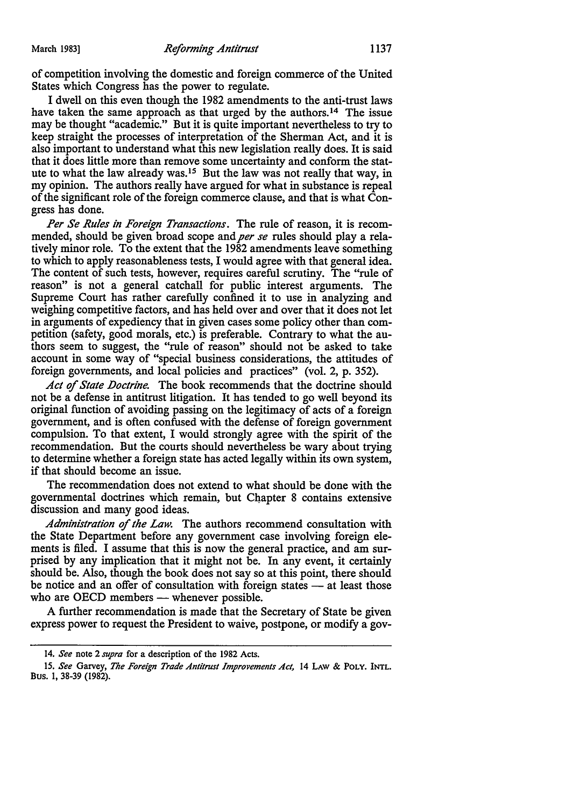of competition involving the domestic and foreign commerce of the United States which Congress has the power to regulate.

I dwell on this even though the 1982 amendments to the anti-trust laws have taken the same approach as that urged by the authors.<sup>14</sup> The issue may be thought "academic." But it is quite important nevertheless to try to keep straight the processes of interpretation of the Sherman Act, and it is also important to understand what this new legislation really does. It is said that it does little more than remove some uncertainty and conform the statute to what the law already was. 15 But the law was not really that way, in my opinion. The authors really have argued for what in substance is repeal of the significant role of the foreign commerce clause, and that is what Congress has done.

*Per Se Rules in Foreign Transactions.* The rule of reason, it is recommended, should be given broad scope and *per se* rules should play a relatively minor role. To the extent that the 1982 amendments leave something to which to apply reasonableness tests, I would agree with that general idea. The content of such tests, however, requires careful scrutiny. The "rule of reason" is not a general catchall for public interest arguments. The Supreme Court has rather carefully confined it to use in analyzing and weighing competitive factors, and has held over and over that it does not let in arguments of expediency that in given cases some policy other than competition (safety, good morals, etc.) is preferable. Contrary to what the authors seem to suggest, the "rule of reason" should not be asked to take account in some way of "special business considerations, the attitudes of foreign governments, and local policies and practices" (vol. 2, p. 352).

*Act* of *State Doctrine.* The book recommends that the doctrine should not be a defense in antitrust litigation. It has tended to go well beyond its original function of avoiding passing on the legitimacy of acts of a foreign government, and is often confused with the defense of foreign government compulsion. To that extent, I would strongly agree with the spirit of the recommendation. But the courts should nevertheless be wary about trying to determine whether a foreign state has acted legally within its own system, if that should become an issue.

The recommendation does not extend to what should be done with the governmental doctrines which remain, but Chapter 8 contains extensive. discussion and many good ideas.

*Administration* of *the Law.* The authors recommend consultation with the State Department before any government case involving foreign elements is filed. I assume that this is now the general practice, and am surprised by any implication that it might not be. In any event, it certainly should be. Also, though the book does not say so at this point, there should be notice and an offer of consultation with foreign states — at least those who are OECD members  $-$  whenever possible.

A further recommendation is made that the Secretary of State be given express power to request the President to waive, postpone, or modify a gov-

<sup>14.</sup> *See* note 2 *supra* for a description of the 1982 Acts.

<sup>15.</sup> See Garvey, The Foreign Trade Antitrust Improvements Act, 14 LAW & POLY. INTL. Bus. l, 38-39 (1982).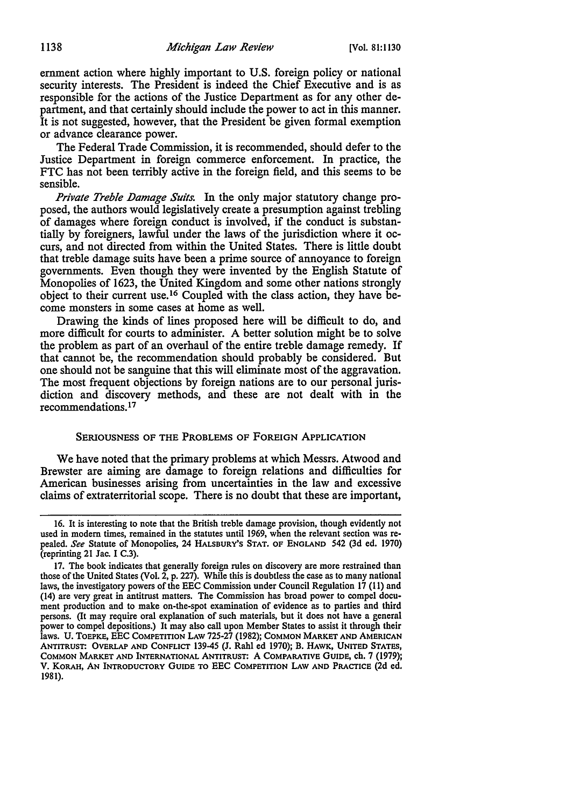ernment action where highly important to U.S. foreign policy or national security interests. The President is indeed the Chief Executive and is as responsible for the actions of the Justice Department as for any other department, and that certainly should include the power to act in this manner. It is not suggested, however, that the President be given formal exemption or advance clearance power.

The Federal Trade Commission, it is recommended, should defer to the Justice Department in foreign commerce enforcement. In practice, the FTC has not been terribly active in the foreign field, and this seems to be sensible.

*Private Treble Damage Suits.* In the only major statutory change proposed, the authors would legislatively create a presumption against trebling of damages where foreign conduct is involved, if the conduct is substantially by foreigners, lawful under the laws of the jurisdiction where it occurs, and not directed from within the United States. There is little doubt that treble damage suits have been a prime source of annoyance to foreign governments. Even though they were invented by the English Statute of Monopolies of 1623, the United Kingdom and some other nations strongly object to their current use. 16 Coupled with the class action, they have become monsters in some cases at home as well.

Drawing the kinds of lines proposed here will be difficult to do, and more difficult for courts to administer. A better solution might be to solve the problem as part of an overhaul of the entire treble damage remedy. If that cannot be, the recommendation should probably be considered. But one should not be sanguine that this will eliminate most of the aggravation. The most frequent objections by foreign nations are to our personal jurisdiction and discovery methods, and these are not dealt with in the recommendations.17

### SERIOUSNESS OF THE PROBLEMS OF FOREIGN APPLICATION

We have noted that the primary problems at which Messrs. Atwood and Brewster are aiming are damage to foreign relations and difficulties for American businesses arising from uncertainties in the law and excessive claims of extraterritorial scope. There is no doubt that these are important,

<sup>16.</sup> It is interesting to note that the British treble damage provision, though evidently not used in modem times, remained in the statutes until 1969, when the relevant section was repealed. *See* Statute of Monopolies, 24 HALSBURY's STAT. OF ENGLAND 542 (3d ed. 1970) (reprinting 21 Jae. I C.3).

<sup>17.</sup> The book indicates that generally foreign rules on discovery are more restrained than those of the United States (Vol.  $\tilde{2}$ , p. 227). While this is doubtless the case as to many national laws, the investigatory powers of the EEC Commission under Council Regulation 17 (11) and (14) are very great in antitrust matters. The Commission has broad power to compel document production and to make on-the-spot examination of evidence as to parties and third persons. (It may require oral explanation of such materials, but it does not have a general power to compel depositions.) It may also call upon Member States to assist it through their laws. u. TOEPKE, EEC COMPETITION LAW 725-27 (1982); COMMON MARKET AND AMERICAN ANTITRUST: OVERLAP AND CONFLICT 139-45 (J. Rahl ed 1970); B. HAWK, UNITED STATES, COMMON MARKET AND INTERNATIONAL ANTITRUST: A COMPARATIVE GUIDE, ch. 7 (1979); V. KoRAH, AN INTRODUCTORY GUIDE TO EEC COMPETITION LAW AND PRACTICE (2d ed. 1981).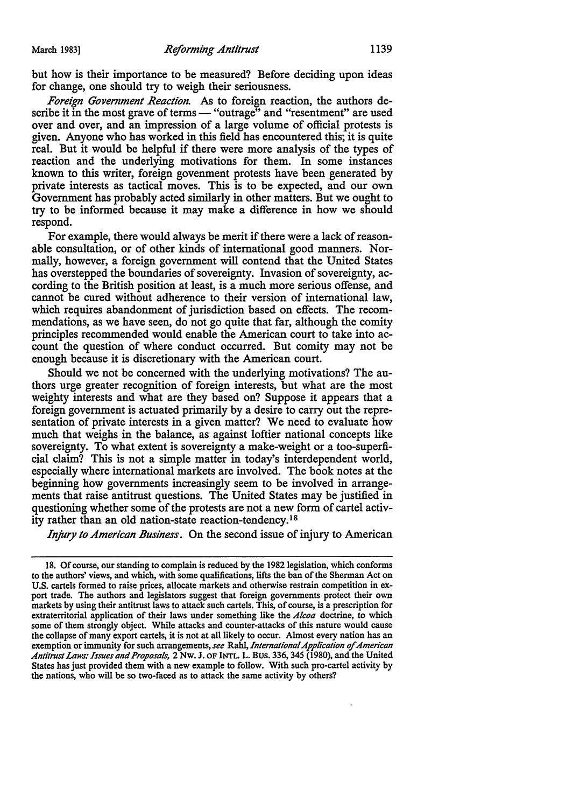but how is their importance to be measured? Before deciding upon ideas for change, one should try to weigh their seriousness.

*Foreign Government Reaction.* As to foreign reaction, the authors describe it in the most grave of terms - "outrage" and "resentment" are used over and over, and an impression of a large volume of official protests is given. Anyone who has worked in this field has encountered this; it is quite real. But it would be helpful if there were more analysis of the types of reaction and the underlying motivations for them. In some instances known to this writer, foreign govenment protests have been generated by private interests as tactical moves. This is to be expected, and our own Government has probably acted similarly in other matters. But we ought to try to be informed because it may make a difference in how we should respond.

For example, there would always be merit if there were a lack of reasonable consultation, or of other kinds of international good manners. Normally, however, a foreign government will contend that the United States has overstepped the boundaries of sovereignty. Invasion of sovereignty, according to the British position at least, is a much more serious offense, and cannot be cured without adherence to their version of international law, which requires abandonment of jurisdiction based on effects. The recommendations, as we have seen, do not go quite that far, although the comity principles recommended would enable the American court to take into account the question of where conduct occurred. But comity may not be enough because it is discretionary with the American court.

Should we not be concerned with the underlying motivations? The authors urge greater recognition of foreign interests, but what are the most weighty interests and what are they based on? Suppose it appears that a foreign government is actuated primarily by a desire to carry out the representation of private interests in a given matter? We need to evaluate how much that weighs in the balance, as against loftier national concepts like sovereignty. To what extent is sovereignty a make-weight or a too-superficial claim? This is not a simple matter in today's interdependent world, especially where international markets are involved. The book notes at the beginning how governments increasingly seem to be involved in arrangements that raise antitrust questions. The United States may be justified in questioning whether some of the protests are not a new form of cartel activity rather than an old nation-state reaction-tendency. <sup>18</sup>

*Injury to American Business.* On the second issue of injury to American

<sup>18.</sup> Of course, our standing to complain is reduced by the 1982 legislation, which conforms to the authors' views, and which, with some qualifications, lifts the ban of the Sherman Act on U.S. cartels formed to raise prices, allocate markets and otherwise restrain competition in export trade. The authors and legislators suggest that foreign governments protect their own markets by using their antitrust laws to attack such cartels. This, of course, is a prescription for extraterritorial application of their laws under something like the *Alcoa* doctrine, to which some of them strongly object. While attacks and counter-attacks of this nature would cause the collapse of many export cartels, it is not at all likely to occur. Almost every nation has an exemption or immunity for such arrangements, *see* Rahl, *International Application of American Antitrust Laws: Issues and Proposals,* 2 Nw. J. OF INTL. L. Bus. 336, 345 (1980), and the United States has just provided them with a new example to follow. With such pro-cartel activity by the nations, who will be so two-faced as to attack the same activity by others?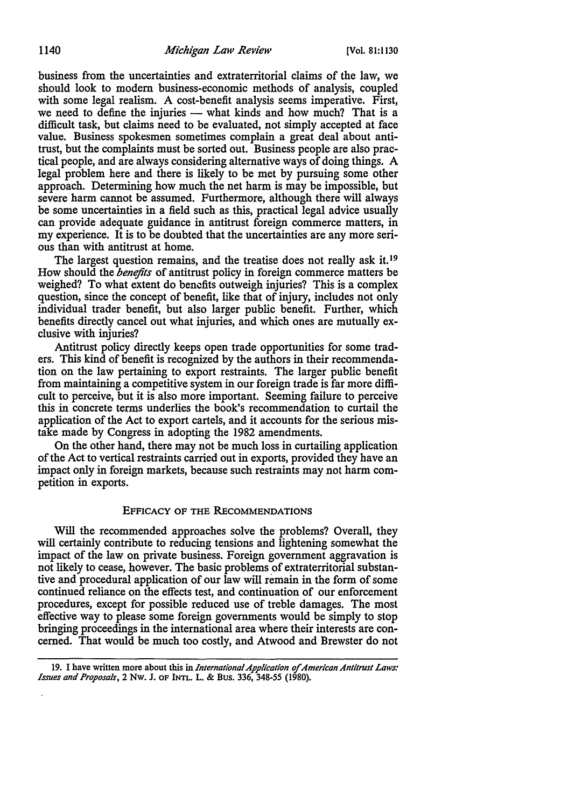business from the uncertainties and extraterritorial claims of the law, we should look to modern business-economic methods of analysis, coupled with some legal realism. A cost-benefit analysis seems imperative. First, we need to define the injuries — what kinds and how much? That is a difficult task, but claims need to be evaluated, not simply accepted at face value. Business spokesmen sometimes complain a great deal about antitrust, but the complaints must be sorted out. Business people are also practical people, and are always considering alternative ways of doing things. A legal problem here and there is likely to be met by pursuing some other approach. Determining how much the net harm is may be impossible, but severe harm cannot be assumed. Furthermore, although there will always be some uncertainties in a field such as this, practical legal advice usually can provide adequate guidance in antitrust foreign commerce matters, in my experience. It is to be doubted that the uncertainties are any more serious than with antitrust at home.

The largest question remains, and the treatise does not really ask it.<sup>19</sup> How should the *benefits* of antitrust policy in foreign commerce matters be weighed? To what extent do benefits outweigh injuries? This is a complex question, since the concept of benefit, like that of injury, includes not only individual trader benefit, but also larger public benefit. Further, which benefits directly cancel out what injuries, and which ones are mutually exclusive with injuries?

Antitrust policy directly keeps open trade opportunities for some traders. This kind of benefit is recognized by the authors in their recommendation on the law pertaining to export restraints. The larger public benefit from maintaining a competitive system in our foreign trade is far more difficult to perceive, but it is also more important. Seeming failure to perceive this in concrete terms underlies the book's recommendation to curtail the application of the Act to export cartels, and it accounts for the serious mistake made by Congress in adopting the 1982 amendments.

On the other hand, there may not be much loss in curtailing application of the Act to vertical restraints carried out in exports, provided they have an impact only in foreign markets, because such restraints may not harm competition in exports.

#### EFFICACY OF THE RECOMMENDATIONS

Will the recommended approaches solve the problems? Overall, they will certainly contribute to reducing tensions and lightening somewhat the impact of the law on private business. Foreign government aggravation is not likely to cease, however. The basic problems of extraterritorial substantive and procedural application of our law will remain in the form of some continued reliance on the effects test, and continuation of our enforcement procedures, except for possible reduced use of treble damages. The most effective way to please some foreign governments would be simply to stop bringing proceedings in the international area where their interests are concerned. That would be much too costly, and Atwood and Brewster do not

<sup>19.</sup> I have written more about this in *International Application of American Antitrust Laws: Issues and Proposals,* 2 Nw. J. OF INTL. L. & Bus. 336, 348-55 (1980).